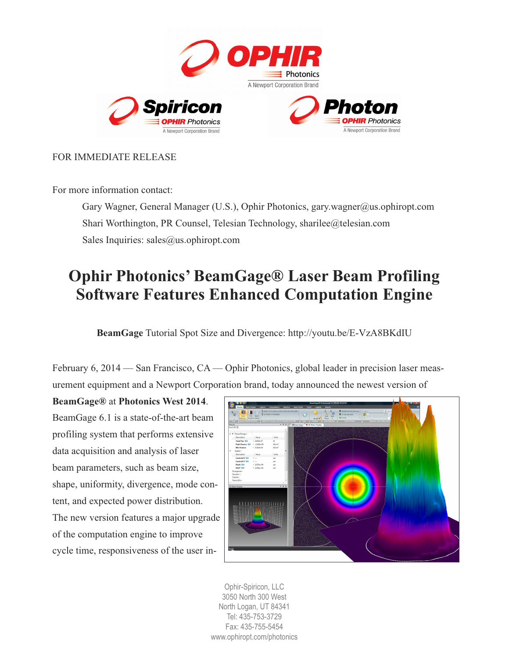

## FOR IMMEDIATE RELEASE

For more information contact:

Gary Wagner, General Manager (U.S.), Ophir Photonics, [gary.wagner@us.ophiropt.com](mailto:gary.wagner@us.ophiropt.com) Shari Worthington, PR Counsel, Telesian Technology, [sharilee@telesian.com](mailto:sharilee@telesian.com) Sales Inquiries: sales@us.ophiropt.com

# **Ophir Photonics' BeamGage® Laser Beam Profiling Software Features Enhanced Computation Engine**

**BeamGage** Tutorial Spot Size and Divergence: <http://youtu.be/E-VzA8BKdIU>

February 6, 2014 — San Francisco, CA — Ophir Photonics, global leader in precision laser measurement equipment and a Newport Corporation brand, today announced the newest version of

**BeamGage®** at **Photonics West 2014**. BeamGage 6.1 is a state-of-the-art beam profiling system that performs extensive data acquisition and analysis of laser beam parameters, such as beam size, shape, uniformity, divergence, mode content, and expected power distribution. The new version features a major upgrade of the computation engine to improve cycle time, responsiveness of the user in-



Ophir-Spiricon, LLC 3050 North 300 West North Logan, UT 84341 Tel: 435-753-3729 Fax: 435-755-5454 [www.ophiropt.com/photonics](http://www.ophiropt.com/photonics)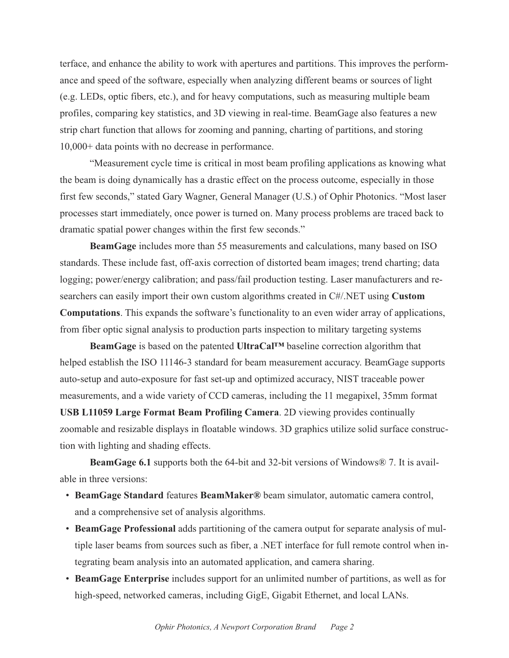terface, and enhance the ability to work with apertures and partitions. This improves the performance and speed of the software, especially when analyzing different beams or sources of light (e.g. LEDs, optic fibers, etc.), and for heavy computations, such as measuring multiple beam profiles, comparing key statistics, and 3D viewing in real-time. BeamGage also features a new strip chart function that allows for zooming and panning, charting of partitions, and storing 10,000+ data points with no decrease in performance.

"Measurement cycle time is critical in most beam profiling applications as knowing what the beam is doing dynamically has a drastic effect on the process outcome, especially in those first few seconds," stated Gary Wagner, General Manager (U.S.) of Ophir Photonics. "Most laser processes start immediately, once power is turned on. Many process problems are traced back to dramatic spatial power changes within the first few seconds."

**BeamGage** includes more than 55 measurements and calculations, many based on ISO standards. These include fast, off-axis correction of distorted beam images; trend charting; data logging; power/energy calibration; and pass/fail production testing. Laser manufacturers and researchers can easily import their own custom algorithms created in C#/.NET using **Custom Computations**. This expands the software's functionality to an even wider array of applications, from fiber optic signal analysis to production parts inspection to military targeting systems

**BeamGage** is based on the patented **UltraCal™** baseline correction algorithm that helped establish the ISO 11146-3 standard for beam measurement accuracy. BeamGage supports auto-setup and auto-exposure for fast set-up and optimized accuracy, NIST traceable power measurements, and a wide variety of CCD cameras, including the 11 megapixel, 35mm format **USB L11059 Large Format Beam Profiling Camera**. 2D viewing provides continually zoomable and resizable displays in floatable windows. 3D graphics utilize solid surface construction with lighting and shading effects.

**BeamGage 6.1** supports both the 64-bit and 32-bit versions of Windows® 7. It is available in three versions:

- **BeamGage Standard** features **BeamMaker®** beam simulator, automatic camera control, and a comprehensive set of analysis algorithms.
- **BeamGage Professional** adds partitioning of the camera output for separate analysis of multiple laser beams from sources such as fiber, a .NET interface for full remote control when integrating beam analysis into an automated application, and camera sharing.
- **BeamGage Enterprise** includes support for an unlimited number of partitions, as well as for high-speed, networked cameras, including GigE, Gigabit Ethernet, and local LANs.